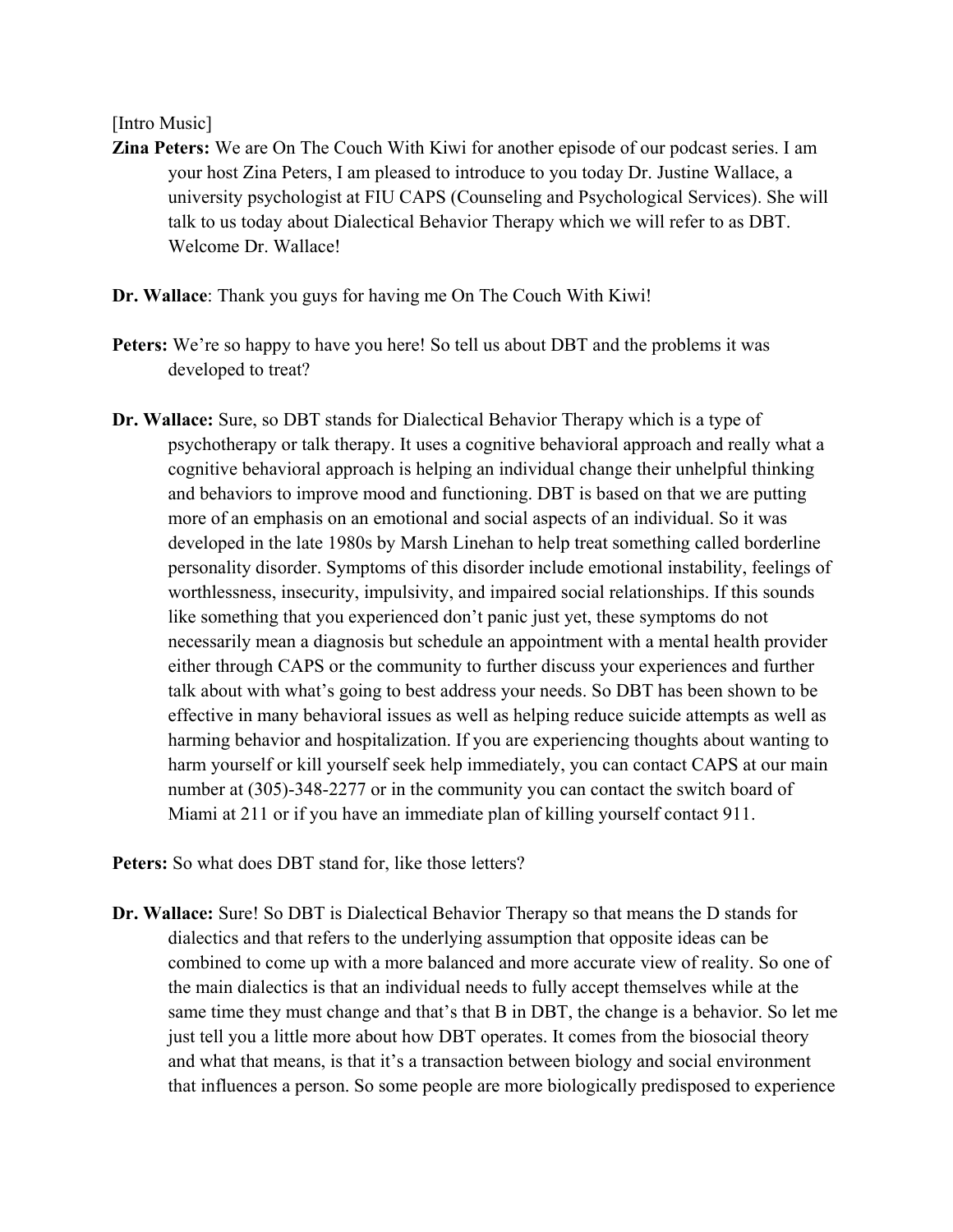## [Intro Music]

**Zina Peters:** We are On The Couch With Kiwi for another episode of our podcast series. I am your host Zina Peters, I am pleased to introduce to you today Dr. Justine Wallace, a university psychologist at FIU CAPS (Counseling and Psychological Services). She will talk to us today about Dialectical Behavior Therapy which we will refer to as DBT. Welcome Dr. Wallace!

**Dr. Wallace**: Thank you guys for having me On The Couch With Kiwi!

- **Peters:** We're so happy to have you here! So tell us about DBT and the problems it was developed to treat?
- **Dr. Wallace:** Sure, so DBT stands for Dialectical Behavior Therapy which is a type of psychotherapy or talk therapy. It uses a cognitive behavioral approach and really what a cognitive behavioral approach is helping an individual change their unhelpful thinking and behaviors to improve mood and functioning. DBT is based on that we are putting more of an emphasis on an emotional and social aspects of an individual. So it was developed in the late 1980s by Marsh Linehan to help treat something called borderline personality disorder. Symptoms of this disorder include emotional instability, feelings of worthlessness, insecurity, impulsivity, and impaired social relationships. If this sounds like something that you experienced don't panic just yet, these symptoms do not necessarily mean a diagnosis but schedule an appointment with a mental health provider either through CAPS or the community to further discuss your experiences and further talk about with what's going to best address your needs. So DBT has been shown to be effective in many behavioral issues as well as helping reduce suicide attempts as well as harming behavior and hospitalization. If you are experiencing thoughts about wanting to harm yourself or kill yourself seek help immediately, you can contact CAPS at our main number at (305)-348-2277 or in the community you can contact the switch board of Miami at 211 or if you have an immediate plan of killing yourself contact 911.

**Peters:** So what does DBT stand for, like those letters?

**Dr. Wallace:** Sure! So DBT is Dialectical Behavior Therapy so that means the D stands for dialectics and that refers to the underlying assumption that opposite ideas can be combined to come up with a more balanced and more accurate view of reality. So one of the main dialectics is that an individual needs to fully accept themselves while at the same time they must change and that's that B in DBT, the change is a behavior. So let me just tell you a little more about how DBT operates. It comes from the biosocial theory and what that means, is that it's a transaction between biology and social environment that influences a person. So some people are more biologically predisposed to experience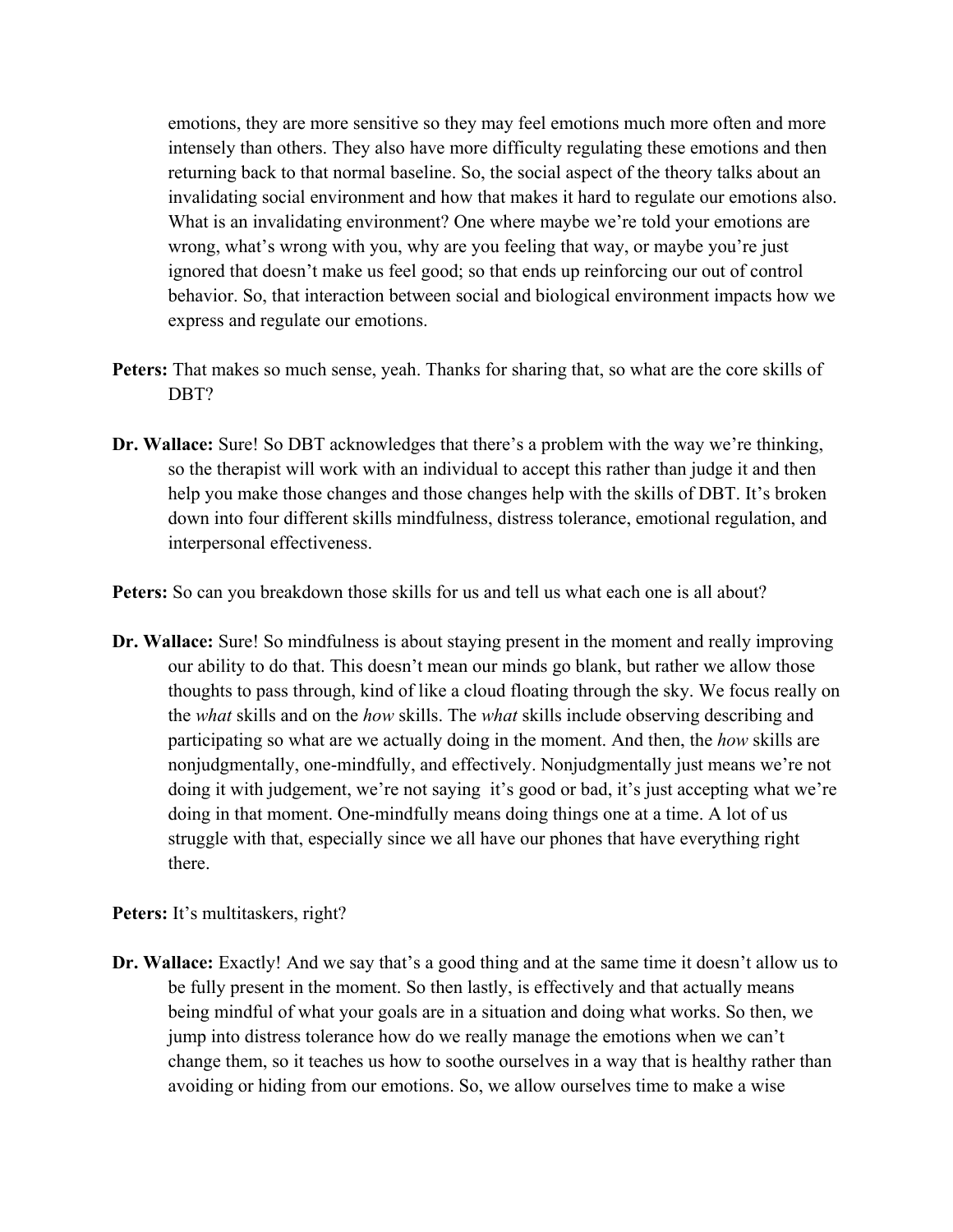emotions, they are more sensitive so they may feel emotions much more often and more intensely than others. They also have more difficulty regulating these emotions and then returning back to that normal baseline. So, the social aspect of the theory talks about an invalidating social environment and how that makes it hard to regulate our emotions also. What is an invalidating environment? One where maybe we're told your emotions are wrong, what's wrong with you, why are you feeling that way, or maybe you're just ignored that doesn't make us feel good; so that ends up reinforcing our out of control behavior. So, that interaction between social and biological environment impacts how we express and regulate our emotions.

- **Peters:** That makes so much sense, yeah. Thanks for sharing that, so what are the core skills of DBT?
- **Dr. Wallace:** Sure! So DBT acknowledges that there's a problem with the way we're thinking, so the therapist will work with an individual to accept this rather than judge it and then help you make those changes and those changes help with the skills of DBT. It's broken down into four different skills mindfulness, distress tolerance, emotional regulation, and interpersonal effectiveness.

**Peters:** So can you breakdown those skills for us and tell us what each one is all about?

**Dr. Wallace:** Sure! So mindfulness is about staying present in the moment and really improving our ability to do that. This doesn't mean our minds go blank, but rather we allow those thoughts to pass through, kind of like a cloud floating through the sky. We focus really on the *what* skills and on the *how* skills. The *what* skills include observing describing and participating so what are we actually doing in the moment. And then, the *how* skills are nonjudgmentally, one-mindfully, and effectively. Nonjudgmentally just means we're not doing it with judgement, we're not saying it's good or bad, it's just accepting what we're doing in that moment. One-mindfully means doing things one at a time. A lot of us struggle with that, especially since we all have our phones that have everything right there.

Peters: It's multitaskers, right?

**Dr. Wallace:** Exactly! And we say that's a good thing and at the same time it doesn't allow us to be fully present in the moment. So then lastly, is effectively and that actually means being mindful of what your goals are in a situation and doing what works. So then, we jump into distress tolerance how do we really manage the emotions when we can't change them, so it teaches us how to soothe ourselves in a way that is healthy rather than avoiding or hiding from our emotions. So, we allow ourselves time to make a wise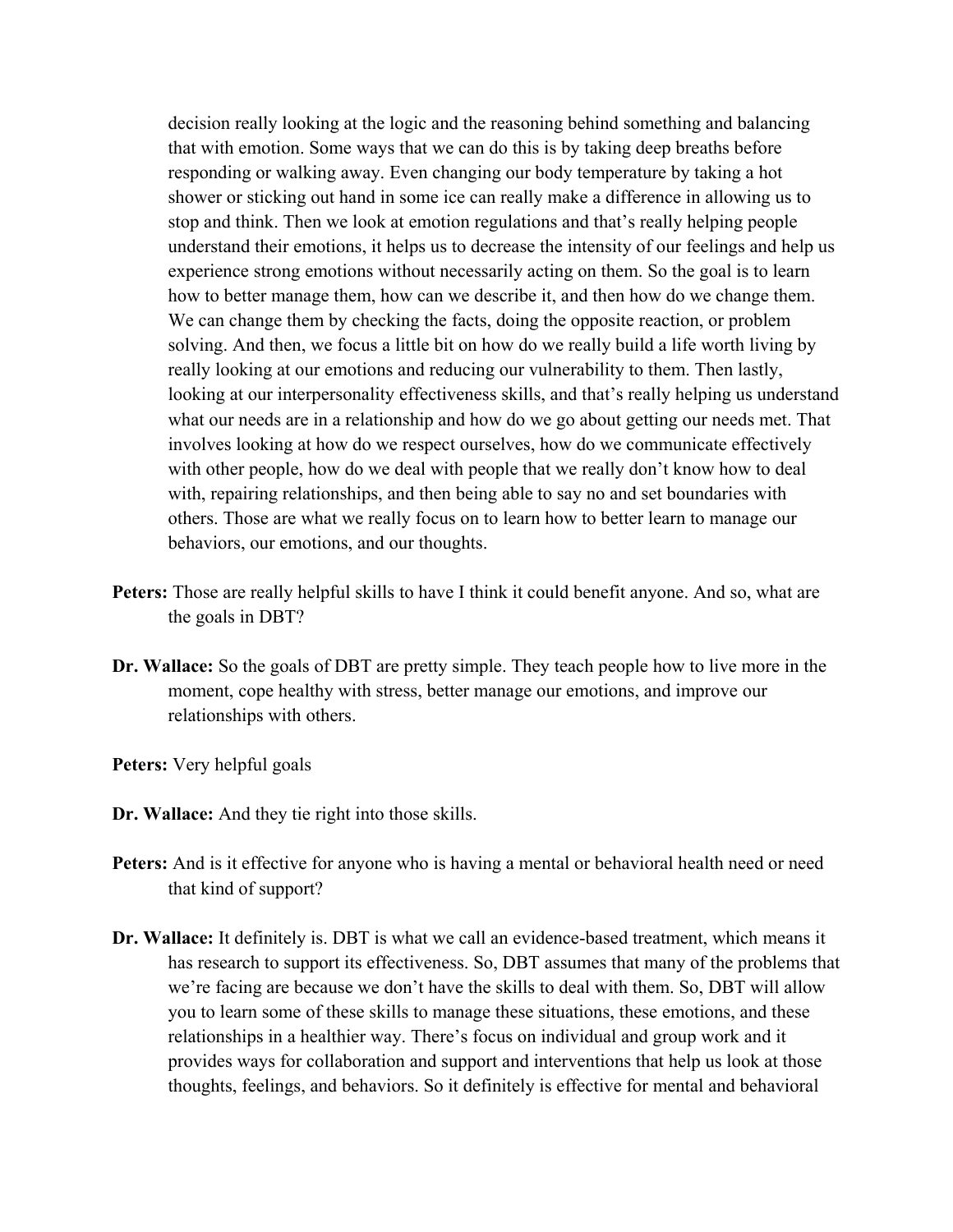decision really looking at the logic and the reasoning behind something and balancing that with emotion. Some ways that we can do this is by taking deep breaths before responding or walking away. Even changing our body temperature by taking a hot shower or sticking out hand in some ice can really make a difference in allowing us to stop and think. Then we look at emotion regulations and that's really helping people understand their emotions, it helps us to decrease the intensity of our feelings and help us experience strong emotions without necessarily acting on them. So the goal is to learn how to better manage them, how can we describe it, and then how do we change them. We can change them by checking the facts, doing the opposite reaction, or problem solving. And then, we focus a little bit on how do we really build a life worth living by really looking at our emotions and reducing our vulnerability to them. Then lastly, looking at our interpersonality effectiveness skills, and that's really helping us understand what our needs are in a relationship and how do we go about getting our needs met. That involves looking at how do we respect ourselves, how do we communicate effectively with other people, how do we deal with people that we really don't know how to deal with, repairing relationships, and then being able to say no and set boundaries with others. Those are what we really focus on to learn how to better learn to manage our behaviors, our emotions, and our thoughts.

- **Peters:** Those are really helpful skills to have I think it could benefit anyone. And so, what are the goals in DBT?
- **Dr. Wallace:** So the goals of DBT are pretty simple. They teach people how to live more in the moment, cope healthy with stress, better manage our emotions, and improve our relationships with others.

**Peters:** Very helpful goals

- **Dr. Wallace:** And they tie right into those skills.
- Peters: And is it effective for anyone who is having a mental or behavioral health need or need that kind of support?
- **Dr. Wallace:** It definitely is. DBT is what we call an evidence-based treatment, which means it has research to support its effectiveness. So, DBT assumes that many of the problems that we're facing are because we don't have the skills to deal with them. So, DBT will allow you to learn some of these skills to manage these situations, these emotions, and these relationships in a healthier way. There's focus on individual and group work and it provides ways for collaboration and support and interventions that help us look at those thoughts, feelings, and behaviors. So it definitely is effective for mental and behavioral